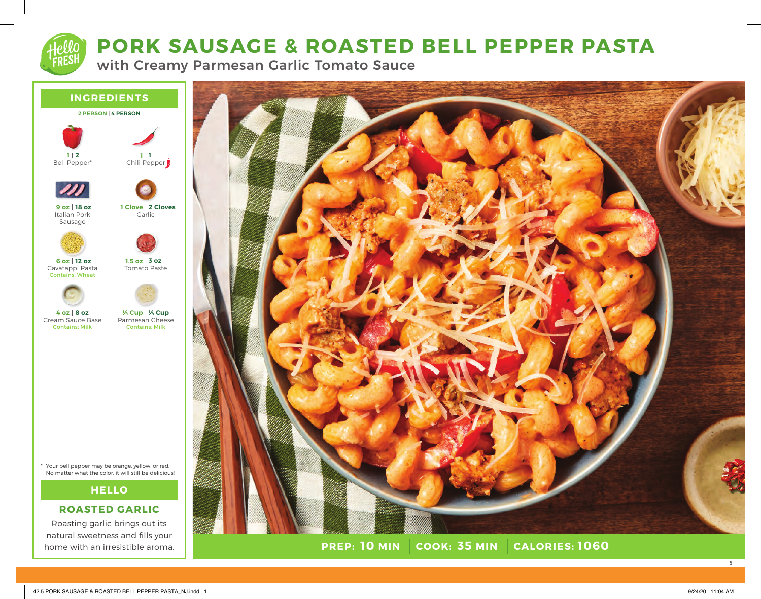# **PORK SAUSAGE & ROASTED BELL PEPPER PASTA**

with Creamy Parmesan Garlic Tomato Sauce

## **INGREDIENTS**







Italian Pork Sausage **18 oz 9 oz**



Cavatappi Pasta Contains: Wheat **12 oz 6 oz**



Tomato Paste **3 oz 1.5 oz**

Cream Sauce Base Contains: Milk **8 oz 4 oz**

Parmesan Cheese Contains: Milk **¼ Cup ¼ Cup**

Your bell pepper may be orange, yellow, or red. \* No matter what the color, it will still be delicious!

# **HELLO**

# **ROASTED GARLIC**

Roasting garlic brings out its natural sweetness and fills your home with an irresistible aroma.



**PREP: 10 MIN COOK: 35 MIN 10 MIN 35 MIN 1060**

5